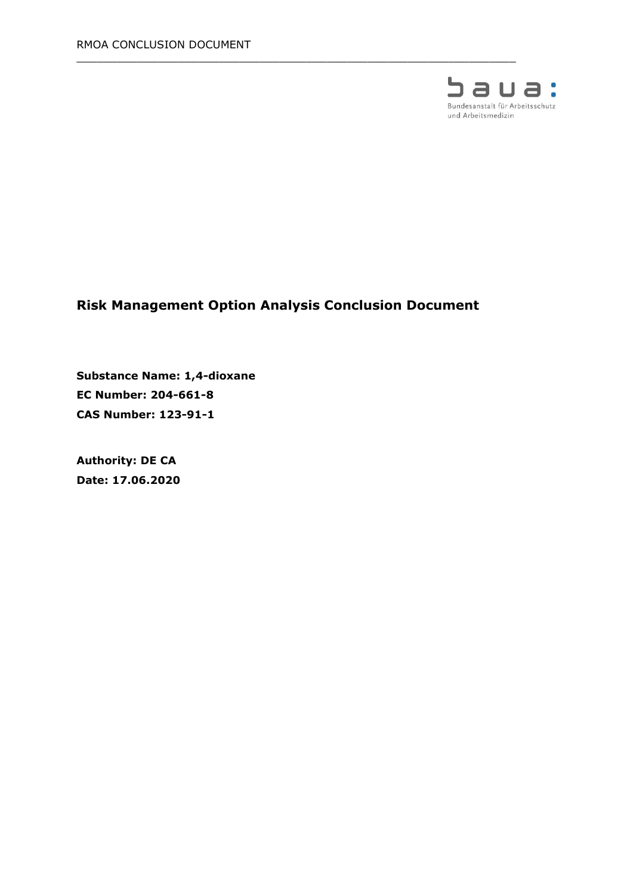

# **Risk Management Option Analysis Conclusion Document**

 $\_$  , and the set of the set of the set of the set of the set of the set of the set of the set of the set of the set of the set of the set of the set of the set of the set of the set of the set of the set of the set of th

**Substance Name: 1,4-dioxane EC Number: 204-661-8 CAS Number: 123-91-1**

**Authority: DE CA Date: 17.06.2020**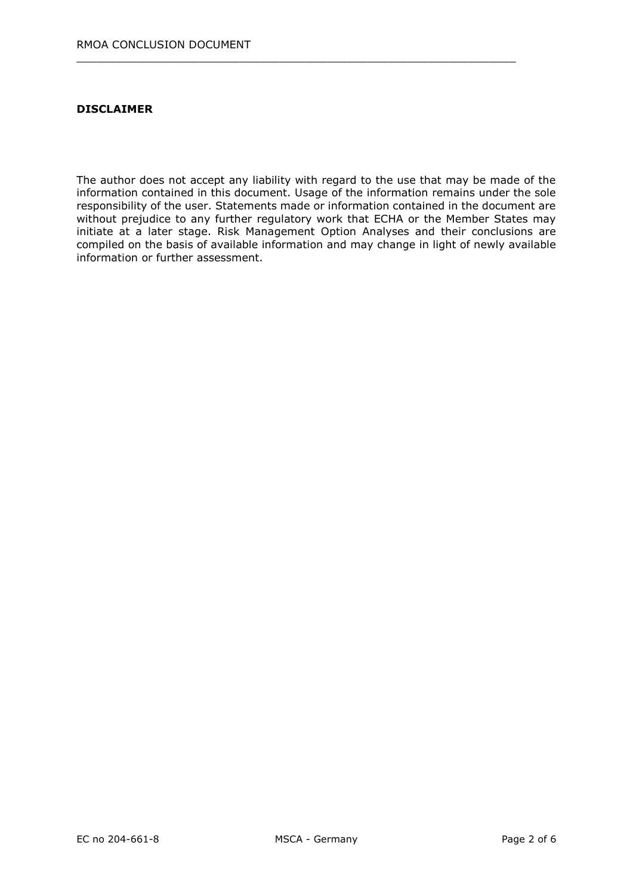#### **DISCLAIMER**

The author does not accept any liability with regard to the use that may be made of the information contained in this document. Usage of the information remains under the sole responsibility of the user. Statements made or information contained in the document are without prejudice to any further regulatory work that ECHA or the Member States may initiate at a later stage. Risk Management Option Analyses and their conclusions are compiled on the basis of available information and may change in light of newly available information or further assessment.

 $\_$  , and the set of the set of the set of the set of the set of the set of the set of the set of the set of the set of the set of the set of the set of the set of the set of the set of the set of the set of the set of th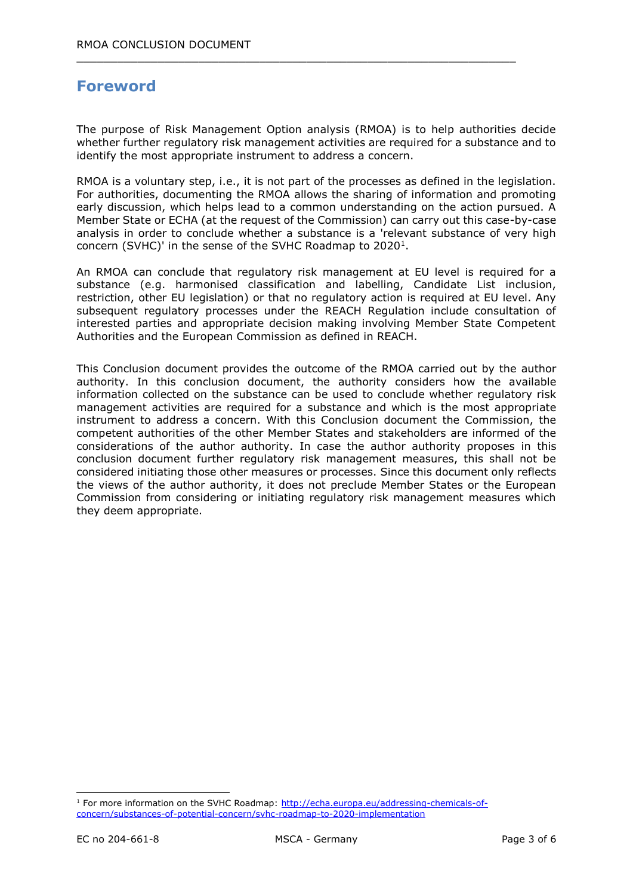# **Foreword**

The purpose of Risk Management Option analysis (RMOA) is to help authorities decide whether further regulatory risk management activities are required for a substance and to identify the most appropriate instrument to address a concern.

 $\_$  , and the set of the set of the set of the set of the set of the set of the set of the set of the set of the set of the set of the set of the set of the set of the set of the set of the set of the set of the set of th

RMOA is a voluntary step, i.e., it is not part of the processes as defined in the legislation. For authorities, documenting the RMOA allows the sharing of information and promoting early discussion, which helps lead to a common understanding on the action pursued. A Member State or ECHA (at the request of the Commission) can carry out this case-by-case analysis in order to conclude whether a substance is a 'relevant substance of very high concern (SVHC)' in the sense of the SVHC Roadmap to  $2020<sup>1</sup>$ .

An RMOA can conclude that regulatory risk management at EU level is required for a substance (e.g. harmonised classification and labelling, Candidate List inclusion, restriction, other EU legislation) or that no regulatory action is required at EU level. Any subsequent regulatory processes under the REACH Regulation include consultation of interested parties and appropriate decision making involving Member State Competent Authorities and the European Commission as defined in REACH.

This Conclusion document provides the outcome of the RMOA carried out by the author authority. In this conclusion document, the authority considers how the available information collected on the substance can be used to conclude whether regulatory risk management activities are required for a substance and which is the most appropriate instrument to address a concern. With this Conclusion document the Commission, the competent authorities of the other Member States and stakeholders are informed of the considerations of the author authority. In case the author authority proposes in this conclusion document further regulatory risk management measures, this shall not be considered initiating those other measures or processes. Since this document only reflects the views of the author authority, it does not preclude Member States or the European Commission from considering or initiating regulatory risk management measures which they deem appropriate.

-

<sup>&</sup>lt;sup>1</sup> For more information on the SVHC Roadmap: [http://echa.europa.eu/addressing-chemicals-of](http://echa.europa.eu/addressing-chemicals-of-concern/substances-of-potential-concern/svhc-roadmap-to-2020-implementation)[concern/substances-of-potential-concern/svhc-roadmap-to-2020-implementation](http://echa.europa.eu/addressing-chemicals-of-concern/substances-of-potential-concern/svhc-roadmap-to-2020-implementation)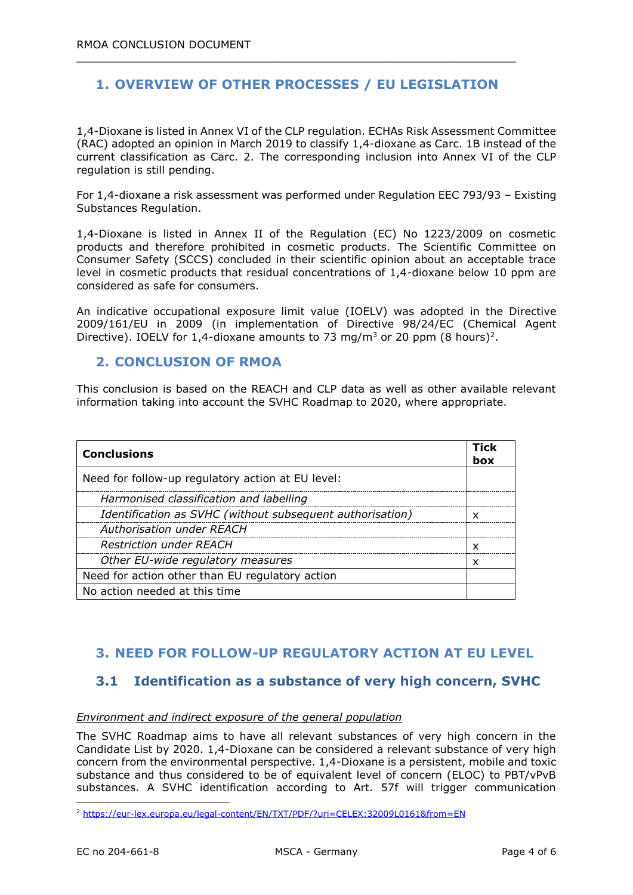## **1. OVERVIEW OF OTHER PROCESSES / EU LEGISLATION**

 $\_$  , and the set of the set of the set of the set of the set of the set of the set of the set of the set of the set of the set of the set of the set of the set of the set of the set of the set of the set of the set of th

1,4-Dioxane is listed in Annex VI of the CLP regulation. ECHAs Risk Assessment Committee (RAC) adopted an opinion in March 2019 to classify 1,4-dioxane as Carc. 1B instead of the current classification as Carc. 2. The corresponding inclusion into Annex VI of the CLP regulation is still pending.

For 1,4-dioxane a risk assessment was performed under Regulation EEC 793/93 – Existing Substances Regulation.

1,4-Dioxane is listed in Annex II of the Regulation (EC) No 1223/2009 on cosmetic products and therefore prohibited in cosmetic products. The Scientific Committee on Consumer Safety (SCCS) concluded in their scientific opinion about an acceptable trace level in cosmetic products that residual concentrations of 1,4-dioxane below 10 ppm are considered as safe for consumers.

An indicative occupational exposure limit value (IOELV) was adopted in the Directive 2009/161/EU in 2009 (in implementation of Directive 98/24/EC (Chemical Agent Directive). IOELV for 1,4-dioxane amounts to 73 mg/m<sup>3</sup> or 20 ppm (8 hours)<sup>2</sup>.

### **2. CONCLUSION OF RMOA**

This conclusion is based on the REACH and CLP data as well as other available relevant information taking into account the SVHC Roadmap to 2020, where appropriate.

| <b>Conclusions</b>                                        | Tick<br>box |
|-----------------------------------------------------------|-------------|
| Need for follow-up regulatory action at EU level:         |             |
| Harmonised classification and labelling                   |             |
| Identification as SVHC (without subsequent authorisation) | x           |
| <b>Authorisation under REACH</b>                          |             |
| <b>Restriction under REACH</b>                            | x           |
| Other EU-wide regulatory measures                         | x           |
| Need for action other than EU regulatory action           |             |
| No action needed at this time                             |             |

## **3. NEED FOR FOLLOW-UP REGULATORY ACTION AT EU LEVEL**

## **3.1 Identification as a substance of very high concern, SVHC**

#### *Environment and indirect exposure of the general population*

The SVHC Roadmap aims to have all relevant substances of very high concern in the Candidate List by 2020. 1,4-Dioxane can be considered a relevant substance of very high concern from the environmental perspective. 1,4-Dioxane is a persistent, mobile and toxic substance and thus considered to be of equivalent level of concern (ELOC) to PBT/vPvB substances. A SVHC identification according to Art. 57f will trigger communication

-

<sup>2</sup> <https://eur-lex.europa.eu/legal-content/EN/TXT/PDF/?uri=CELEX:32009L0161&from=EN>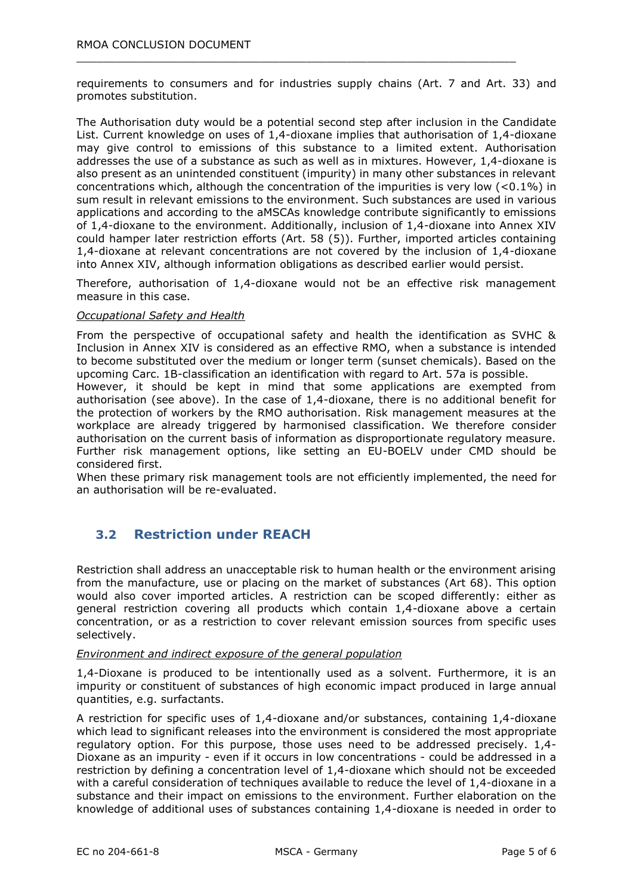requirements to consumers and for industries supply chains (Art. 7 and Art. 33) and promotes substitution.

 $\_$  , and the set of the set of the set of the set of the set of the set of the set of the set of the set of the set of the set of the set of the set of the set of the set of the set of the set of the set of the set of th

The Authorisation duty would be a potential second step after inclusion in the Candidate List. Current knowledge on uses of 1,4-dioxane implies that authorisation of 1,4-dioxane may give control to emissions of this substance to a limited extent. Authorisation addresses the use of a substance as such as well as in mixtures. However, 1,4-dioxane is also present as an unintended constituent (impurity) in many other substances in relevant concentrations which, although the concentration of the impurities is very low  $(<0.1\%)$  in sum result in relevant emissions to the environment. Such substances are used in various applications and according to the aMSCAs knowledge contribute significantly to emissions of 1,4-dioxane to the environment. Additionally, inclusion of 1,4-dioxane into Annex XIV could hamper later restriction efforts (Art. 58 (5)). Further, imported articles containing 1,4-dioxane at relevant concentrations are not covered by the inclusion of 1,4-dioxane into Annex XIV, although information obligations as described earlier would persist.

Therefore, authorisation of 1,4-dioxane would not be an effective risk management measure in this case.

#### *Occupational Safety and Health*

From the perspective of occupational safety and health the identification as SVHC & Inclusion in Annex XIV is considered as an effective RMO, when a substance is intended to become substituted over the medium or longer term (sunset chemicals). Based on the upcoming Carc. 1B-classification an identification with regard to Art. 57a is possible. However, it should be kept in mind that some applications are exempted from authorisation (see above). In the case of 1,4-dioxane, there is no additional benefit for the protection of workers by the RMO authorisation. Risk management measures at the workplace are already triggered by harmonised classification. We therefore consider authorisation on the current basis of information as disproportionate regulatory measure. Further risk management options, like setting an EU-BOELV under CMD should be considered first.

When these primary risk management tools are not efficiently implemented, the need for an authorisation will be re-evaluated.

## **3.2 Restriction under REACH**

Restriction shall address an unacceptable risk to human health or the environment arising from the manufacture, use or placing on the market of substances (Art 68). This option would also cover imported articles. A restriction can be scoped differently: either as general restriction covering all products which contain 1,4-dioxane above a certain concentration, or as a restriction to cover relevant emission sources from specific uses selectively.

#### *Environment and indirect exposure of the general population*

1,4-Dioxane is produced to be intentionally used as a solvent. Furthermore, it is an impurity or constituent of substances of high economic impact produced in large annual quantities, e.g. surfactants.

A restriction for specific uses of 1,4-dioxane and/or substances, containing 1,4-dioxane which lead to significant releases into the environment is considered the most appropriate regulatory option. For this purpose, those uses need to be addressed precisely. 1,4- Dioxane as an impurity - even if it occurs in low concentrations - could be addressed in a restriction by defining a concentration level of 1,4-dioxane which should not be exceeded with a careful consideration of techniques available to reduce the level of 1,4-dioxane in a substance and their impact on emissions to the environment. Further elaboration on the knowledge of additional uses of substances containing 1,4-dioxane is needed in order to